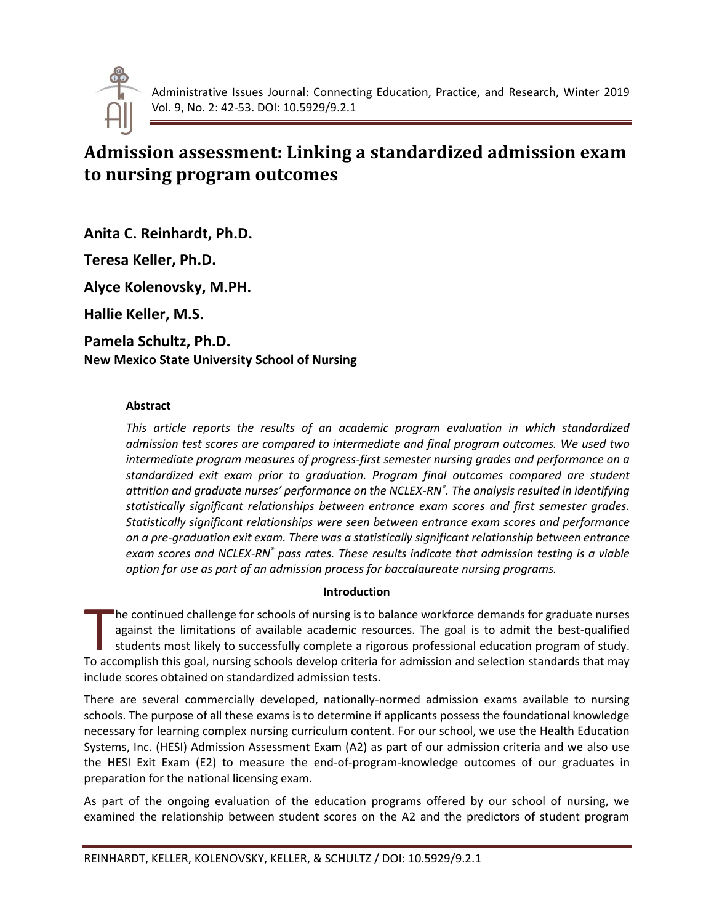

# **Admission assessment: Linking a standardized admission exam to nursing program outcomes**

**Anita C. Reinhardt, Ph.D.**

**Teresa Keller, Ph.D.**

**Alyce Kolenovsky, M.PH.**

**Hallie Keller, M.S.**

**Pamela Schultz, Ph.D. New Mexico State University School of Nursing**

# **Abstract**

*This article reports the results of an academic program evaluation in which standardized admission test scores are compared to intermediate and final program outcomes. We used two intermediate program measures of progress-first semester nursing grades and performance on a standardized exit exam prior to graduation. Program final outcomes compared are student attrition and graduate nurses' performance on the NCLEX-RN® . The analysis resulted in identifying statistically significant relationships between entrance exam scores and first semester grades. Statistically significant relationships were seen between entrance exam scores and performance on a pre-graduation exit exam. There was a statistically significant relationship between entrance exam scores and NCLEX-RN® pass rates. These results indicate that admission testing is a viable option for use as part of an admission process for baccalaureate nursing programs.*

# **Introduction**

he continued challenge for schools of nursing is to balance workforce demands for graduate nurses against the limitations of available academic resources. The goal is to admit the best-qualified students most likely to successfully complete a rigorous professional education program of study. The continued challenge for schools of nursing is to balance workforce demands for graduate nurses against the limitations of available academic resources. The goal is to admit the best-qualified students most likely to su include scores obtained on standardized admission tests.

There are several commercially developed, nationally-normed admission exams available to nursing schools. The purpose of all these exams is to determine if applicants possess the foundational knowledge necessary for learning complex nursing curriculum content. For our school, we use the Health Education Systems, Inc. (HESI) Admission Assessment Exam (A2) as part of our admission criteria and we also use the HESI Exit Exam (E2) to measure the end-of-program-knowledge outcomes of our graduates in preparation for the national licensing exam.

As part of the ongoing evaluation of the education programs offered by our school of nursing, we examined the relationship between student scores on the A2 and the predictors of student program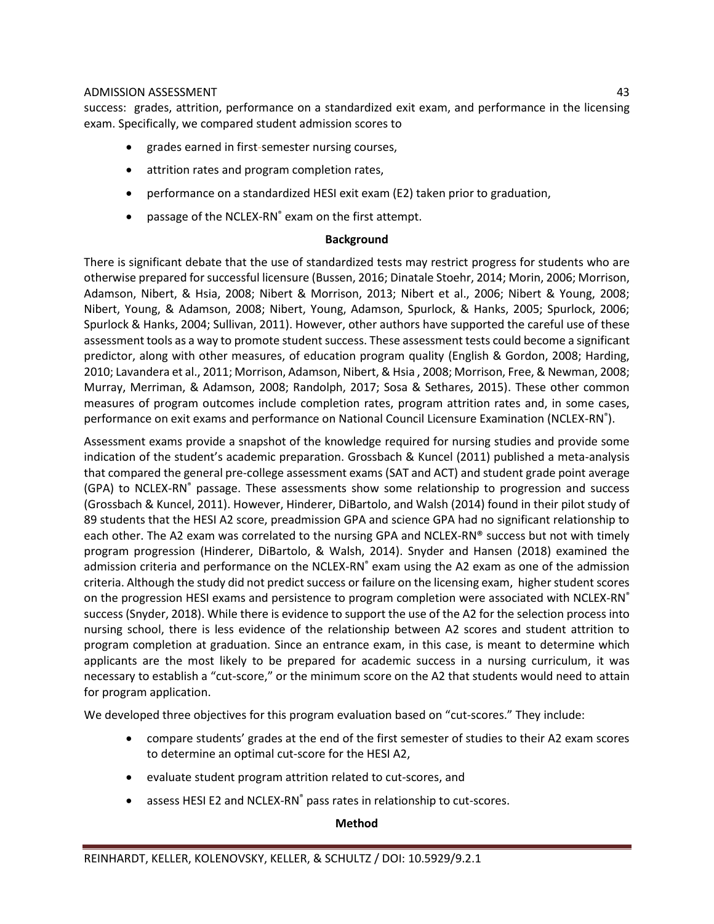success: grades, attrition, performance on a standardized exit exam, and performance in the licensing exam. Specifically, we compared student admission scores to

- grades earned in first-semester nursing courses,
- attrition rates and program completion rates,
- performance on a standardized HESI exit exam (E2) taken prior to graduation,
- passage of the NCLEX-RN® exam on the first attempt.

# **Background**

There is significant debate that the use of standardized tests may restrict progress for students who are otherwise prepared for successful licensure (Bussen, 2016; Dinatale Stoehr, 2014; Morin, 2006; Morrison, Adamson, Nibert, & Hsia, 2008; Nibert & Morrison, 2013; Nibert et al., 2006; Nibert & Young, 2008; Nibert, Young, & Adamson, 2008; Nibert, Young, Adamson, Spurlock, & Hanks, 2005; Spurlock, 2006; Spurlock & Hanks, 2004; Sullivan, 2011). However, other authors have supported the careful use of these assessment tools as a way to promote student success. These assessment tests could become a significant predictor, along with other measures, of education program quality (English & Gordon, 2008; Harding, 2010; Lavandera et al., 2011; Morrison, Adamson, Nibert, & Hsia , 2008; Morrison, Free, & Newman, 2008; Murray, Merriman, & Adamson, 2008; Randolph, 2017; Sosa & Sethares, 2015). These other common measures of program outcomes include completion rates, program attrition rates and, in some cases, performance on exit exams and performance on National Council Licensure Examination (NCLEX-RN<sup>®</sup>).

Assessment exams provide a snapshot of the knowledge required for nursing studies and provide some indication of the student's academic preparation. Grossbach & Kuncel (2011) published a meta-analysis that compared the general pre-college assessment exams (SAT and ACT) and student grade point average (GPA) to NCLEX-RN® passage. These assessments show some relationship to progression and success (Grossbach & Kuncel, 2011). However, Hinderer, DiBartolo, and Walsh (2014) found in their pilot study of 89 students that the HESI A2 score, preadmission GPA and science GPA had no significant relationship to each other. The A2 exam was correlated to the nursing GPA and NCLEX-RN® success but not with timely program progression (Hinderer, DiBartolo, & Walsh, 2014). Snyder and Hansen (2018) examined the admission criteria and performance on the NCLEX-RN® exam using the A2 exam as one of the admission criteria. Although the study did not predict success or failure on the licensing exam, higher student scores on the progression HESI exams and persistence to program completion were associated with NCLEX-RN® success (Snyder, 2018). While there is evidence to support the use of the A2 for the selection process into nursing school, there is less evidence of the relationship between A2 scores and student attrition to program completion at graduation. Since an entrance exam, in this case, is meant to determine which applicants are the most likely to be prepared for academic success in a nursing curriculum, it was necessary to establish a "cut-score," or the minimum score on the A2 that students would need to attain for program application.

We developed three objectives for this program evaluation based on "cut-scores." They include:

- compare students' grades at the end of the first semester of studies to their A2 exam scores to determine an optimal cut-score for the HESI A2,
- evaluate student program attrition related to cut-scores, and
- assess HESI E2 and NCLEX-RN<sup>®</sup> pass rates in relationship to cut-scores.

#### **Method**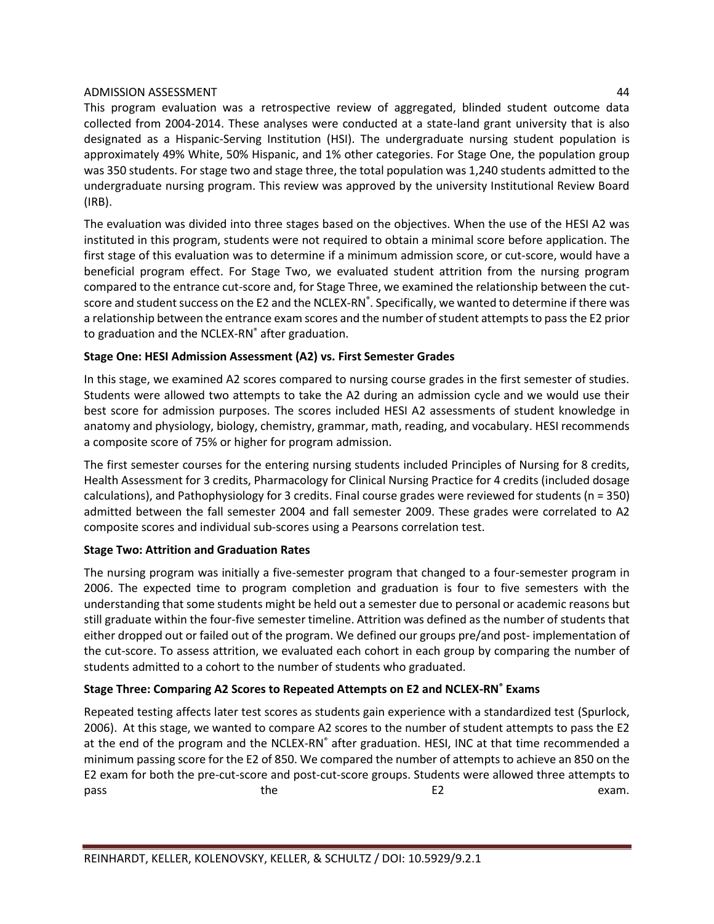This program evaluation was a retrospective review of aggregated, blinded student outcome data collected from 2004-2014. These analyses were conducted at a state-land grant university that is also designated as a Hispanic-Serving Institution (HSI). The undergraduate nursing student population is approximately 49% White, 50% Hispanic, and 1% other categories. For Stage One, the population group was 350 students. For stage two and stage three, the total population was 1,240 students admitted to the undergraduate nursing program. This review was approved by the university Institutional Review Board (IRB).

The evaluation was divided into three stages based on the objectives. When the use of the HESI A2 was instituted in this program, students were not required to obtain a minimal score before application. The first stage of this evaluation was to determine if a minimum admission score, or cut-score, would have a beneficial program effect. For Stage Two, we evaluated student attrition from the nursing program compared to the entrance cut-score and, for Stage Three, we examined the relationship between the cutscore and student success on the E2 and the NCLEX-RN®. Specifically, we wanted to determine if there was a relationship between the entrance exam scores and the number of student attempts to pass the E2 prior to graduation and the NCLEX-RN® after graduation.

# **Stage One: HESI Admission Assessment (A2) vs. First Semester Grades**

In this stage, we examined A2 scores compared to nursing course grades in the first semester of studies. Students were allowed two attempts to take the A2 during an admission cycle and we would use their best score for admission purposes. The scores included HESI A2 assessments of student knowledge in anatomy and physiology, biology, chemistry, grammar, math, reading, and vocabulary. HESI recommends a composite score of 75% or higher for program admission.

The first semester courses for the entering nursing students included Principles of Nursing for 8 credits, Health Assessment for 3 credits, Pharmacology for Clinical Nursing Practice for 4 credits (included dosage calculations), and Pathophysiology for 3 credits. Final course grades were reviewed for students (n = 350) admitted between the fall semester 2004 and fall semester 2009. These grades were correlated to A2 composite scores and individual sub-scores using a Pearsons correlation test.

#### **Stage Two: Attrition and Graduation Rates**

The nursing program was initially a five-semester program that changed to a four-semester program in 2006. The expected time to program completion and graduation is four to five semesters with the understanding that some students might be held out a semester due to personal or academic reasons but still graduate within the four-five semester timeline. Attrition was defined as the number of students that either dropped out or failed out of the program. We defined our groups pre/and post- implementation of the cut-score. To assess attrition, we evaluated each cohort in each group by comparing the number of students admitted to a cohort to the number of students who graduated.

# **Stage Three: Comparing A2 Scores to Repeated Attempts on E2 and NCLEX-RN® Exams**

Repeated testing affects later test scores as students gain experience with a standardized test (Spurlock, 2006). At this stage, we wanted to compare A2 scores to the number of student attempts to pass the E2 at the end of the program and the NCLEX-RN<sup>®</sup> after graduation. HESI, INC at that time recommended a minimum passing score for the E2 of 850. We compared the number of attempts to achieve an 850 on the E2 exam for both the pre-cut-score and post-cut-score groups. Students were allowed three attempts to pass and the the contract the E2 exam.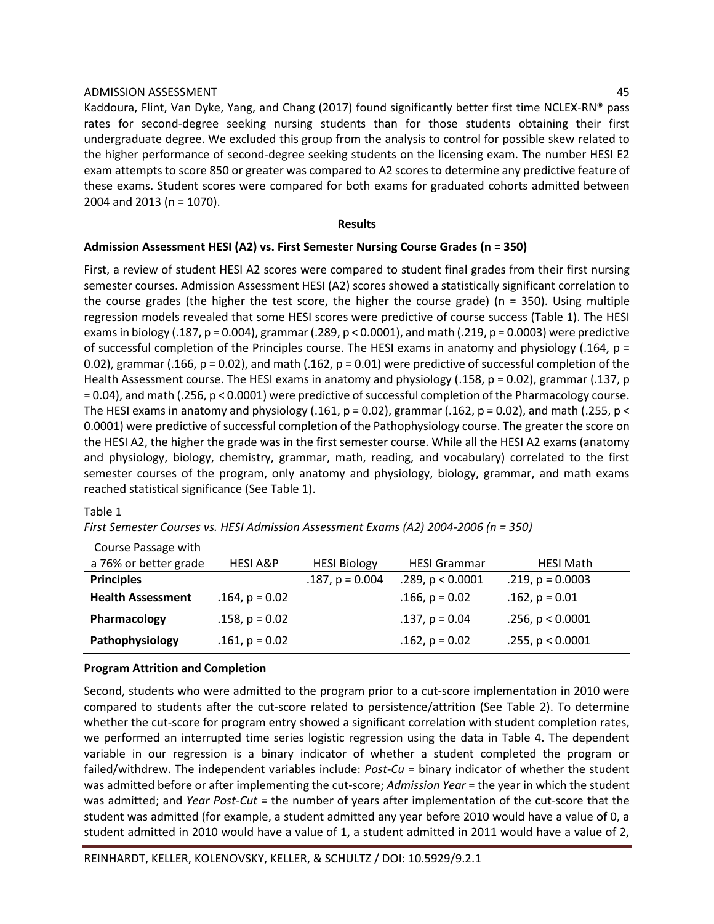Kaddoura, Flint, Van Dyke, Yang, and Chang (2017) found significantly better first time NCLEX-RN® pass rates for second-degree seeking nursing students than for those students obtaining their first undergraduate degree. We excluded this group from the analysis to control for possible skew related to the higher performance of second-degree seeking students on the licensing exam. The number HESI E2 exam attempts to score 850 or greater was compared to A2 scores to determine any predictive feature of these exams. Student scores were compared for both exams for graduated cohorts admitted between 2004 and 2013 (n = 1070).

#### **Results**

#### **Admission Assessment HESI (A2) vs. First Semester Nursing Course Grades (n = 350)**

First, a review of student HESI A2 scores were compared to student final grades from their first nursing semester courses. Admission Assessment HESI (A2) scores showed a statistically significant correlation to the course grades (the higher the test score, the higher the course grade) ( $n = 350$ ). Using multiple regression models revealed that some HESI scores were predictive of course success (Table 1). The HESI exams in biology (.187,  $p = 0.004$ ), grammar (.289,  $p < 0.0001$ ), and math (.219,  $p = 0.0003$ ) were predictive of successful completion of the Principles course. The HESI exams in anatomy and physiology (.164, p = 0.02), grammar (.166,  $p = 0.02$ ), and math (.162,  $p = 0.01$ ) were predictive of successful completion of the Health Assessment course. The HESI exams in anatomy and physiology (.158, p = 0.02), grammar (.137, p = 0.04), and math (.256, p < 0.0001) were predictive of successful completion of the Pharmacology course. The HESI exams in anatomy and physiology (.161,  $p = 0.02$ ), grammar (.162,  $p = 0.02$ ), and math (.255,  $p <$ 0.0001) were predictive of successful completion of the Pathophysiology course. The greater the score on the HESI A2, the higher the grade was in the first semester course. While all the HESI A2 exams (anatomy and physiology, biology, chemistry, grammar, math, reading, and vocabulary) correlated to the first semester courses of the program, only anatomy and physiology, biology, grammar, and math exams reached statistical significance (See Table 1).

#### Table 1

*First Semester Courses vs. HESI Admission Assessment Exams (A2) 2004-2006 (n = 350)*

| Course Passage with      |                     |                     |                     |                       |
|--------------------------|---------------------|---------------------|---------------------|-----------------------|
| a 76% or better grade    | <b>HESI A&amp;P</b> | <b>HESI Biology</b> | <b>HESI Grammar</b> | <b>HESI Math</b>      |
| <b>Principles</b>        |                     | $.187, p = 0.004$   | .289, p < 0.0001    | $.219, p = 0.0003$    |
| <b>Health Assessment</b> | $.164$ , $p = 0.02$ |                     | $.166$ , $p = 0.02$ | $.162$ , $p = 0.01$   |
| Pharmacology             | $.158$ , $p = 0.02$ |                     | $.137, p = 0.04$    | $.256$ , $p < 0.0001$ |
| Pathophysiology          | $.161$ , $p = 0.02$ |                     | $.162$ , $p = 0.02$ | .255, p < 0.0001      |

#### **Program Attrition and Completion**

Second, students who were admitted to the program prior to a cut-score implementation in 2010 were compared to students after the cut-score related to persistence/attrition (See Table 2). To determine whether the cut-score for program entry showed a significant correlation with student completion rates, we performed an interrupted time series logistic regression using the data in Table 4. The dependent variable in our regression is a binary indicator of whether a student completed the program or failed/withdrew. The independent variables include: *Post-Cu* = binary indicator of whether the student was admitted before or after implementing the cut-score; *Admission Year* = the year in which the student was admitted; and *Year Post-Cut* = the number of years after implementation of the cut-score that the student was admitted (for example, a student admitted any year before 2010 would have a value of 0, a student admitted in 2010 would have a value of 1, a student admitted in 2011 would have a value of 2,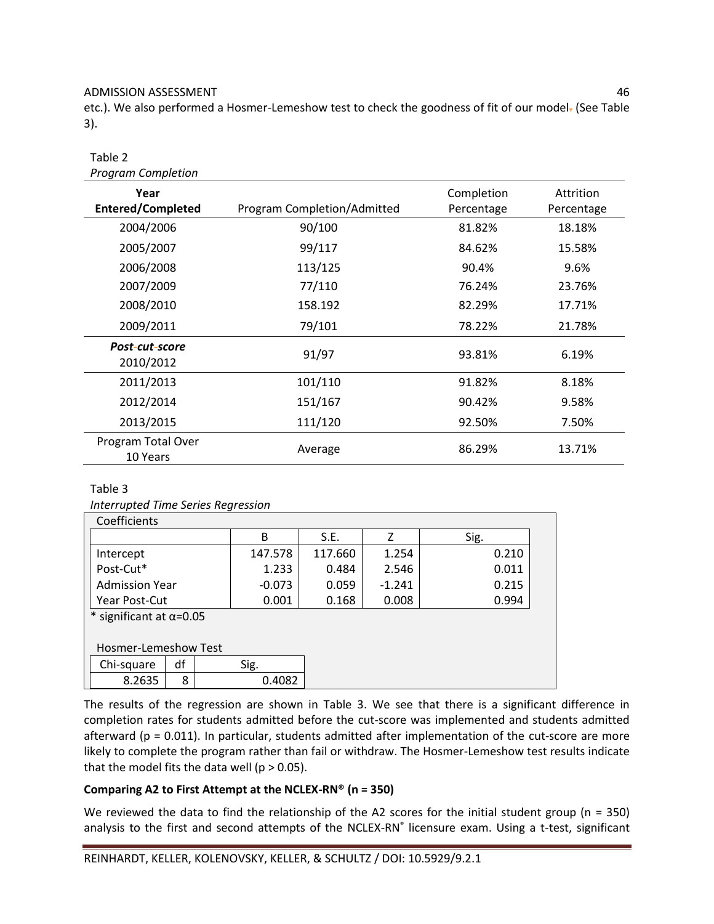etc.). We also performed a Hosmer-Lemeshow test to check the goodness of fit of our model- (See Table 3).

#### Table 2 *Program Completion*

| Program Completion               |                             |                          |                         |
|----------------------------------|-----------------------------|--------------------------|-------------------------|
| Year<br><b>Entered/Completed</b> | Program Completion/Admitted | Completion<br>Percentage | Attrition<br>Percentage |
| 2004/2006                        | 90/100                      | 81.82%                   | 18.18%                  |
| 2005/2007                        | 99/117                      | 84.62%                   | 15.58%                  |
| 2006/2008                        | 113/125                     | 90.4%                    | 9.6%                    |
| 2007/2009                        | 77/110                      | 76.24%                   | 23.76%                  |
| 2008/2010                        | 158.192                     | 82.29%                   | 17.71%                  |
| 2009/2011                        | 79/101                      | 78.22%                   | 21.78%                  |
| Post-cut-score<br>2010/2012      | 91/97                       | 93.81%                   | 6.19%                   |
| 2011/2013                        | 101/110                     | 91.82%                   | 8.18%                   |
| 2012/2014                        | 151/167                     | 90.42%                   | 9.58%                   |
| 2013/2015                        | 111/120                     | 92.50%                   | 7.50%                   |
| Program Total Over<br>10 Years   | Average                     | 86.29%                   | 13.71%                  |

#### Table 3

*Interrupted Time Series Regression*

| Coefficients                    |    |       |          |         |          |       |
|---------------------------------|----|-------|----------|---------|----------|-------|
|                                 |    |       | B        | S.E.    | 7        | Sig.  |
| Intercept                       |    |       | 147.578  | 117.660 | 1.254    | 0.210 |
| Post-Cut*                       |    |       | 1.233    | 0.484   | 2.546    | 0.011 |
| <b>Admission Year</b>           |    |       | $-0.073$ | 0.059   | $-1.241$ | 0.215 |
| Year Post-Cut                   |    | 0.001 | 0.168    | 0.008   | 0.994    |       |
| * significant at $\alpha$ =0.05 |    |       |          |         |          |       |
|                                 |    |       |          |         |          |       |
| <b>Hosmer-Lemeshow Test</b>     |    |       |          |         |          |       |
| Chi-square                      | df |       | Sig.     |         |          |       |
| 8.2635                          | 8  |       | 0.4082   |         |          |       |

The results of the regression are shown in Table 3. We see that there is a significant difference in completion rates for students admitted before the cut-score was implemented and students admitted afterward ( $p = 0.011$ ). In particular, students admitted after implementation of the cut-score are more likely to complete the program rather than fail or withdraw. The Hosmer-Lemeshow test results indicate that the model fits the data well ( $p > 0.05$ ).

# **Comparing A2 to First Attempt at the NCLEX-RN® (n = 350)**

We reviewed the data to find the relationship of the A2 scores for the initial student group ( $n = 350$ ) analysis to the first and second attempts of the NCLEX-RN<sup>®</sup> licensure exam. Using a t-test, significant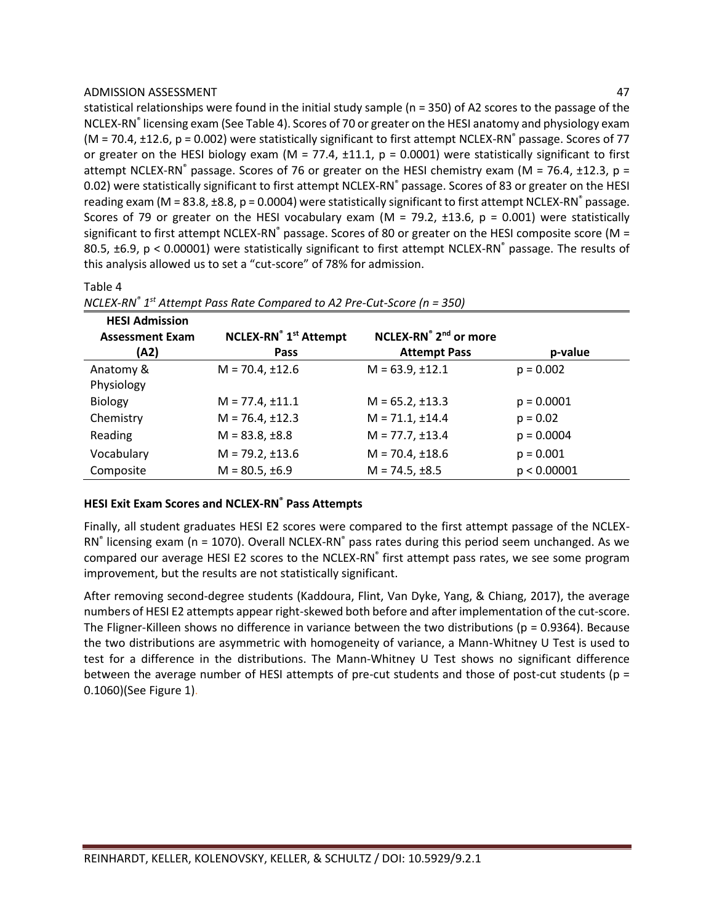statistical relationships were found in the initial study sample (n = 350) of A2 scores to the passage of the NCLEX-RN<sup>®</sup> licensing exam (See Table 4). Scores of 70 or greater on the HESI anatomy and physiology exam (M = 70.4,  $\pm$ 12.6, p = 0.002) were statistically significant to first attempt NCLEX-RN° passage. Scores of 77 or greater on the HESI biology exam (M = 77.4,  $\pm$ 11.1, p = 0.0001) were statistically significant to first attempt NCLEX-RN® passage. Scores of 76 or greater on the HESI chemistry exam (M = 76.4,  $\pm$ 12.3, p = 0.02) were statistically significant to first attempt NCLEX-RN® passage. Scores of 83 or greater on the HESI reading exam ( $M = 83.8$ ,  $\pm 8.8$ ,  $p = 0.0004$ ) were statistically significant to first attempt NCLEX-RN<sup>®</sup> passage. Scores of 79 or greater on the HESI vocabulary exam (M = 79.2,  $\pm$ 13.6, p = 0.001) were statistically significant to first attempt NCLEX-RN $^{\circ}$  passage. Scores of 80 or greater on the HESI composite score (M = 80.5,  $\pm$ 6.9, p < 0.00001) were statistically significant to first attempt NCLEX-RN® passage. The results of this analysis allowed us to set a "cut-score" of 78% for admission.

# Table 4

| <b>HESI Admission</b><br><b>Assessment Exam</b><br>(A2) | <b>NCLEX-RN</b> <sup>®</sup> 1 <sup>st</sup> Attempt<br>Pass | NCLEX-RN <sup>®</sup> 2 <sup>nd</sup> or more<br><b>Attempt Pass</b> | p-value      |
|---------------------------------------------------------|--------------------------------------------------------------|----------------------------------------------------------------------|--------------|
| Anatomy &                                               | $M = 70.4, \pm 12.6$                                         | $M = 63.9, \pm 12.1$                                                 | $p = 0.002$  |
| Physiology                                              |                                                              |                                                                      |              |
| <b>Biology</b>                                          | $M = 77.4, \pm 11.1$                                         | $M = 65.2, \pm 13.3$                                                 | $p = 0.0001$ |
| Chemistry                                               | $M = 76.4, \pm 12.3$                                         | $M = 71.1, \pm 14.4$                                                 | $p = 0.02$   |
| Reading                                                 | $M = 83.8, \pm 8.8$                                          | $M = 77.7, \pm 13.4$                                                 | $p = 0.0004$ |
| Vocabulary                                              | $M = 79.2, \pm 13.6$                                         | $M = 70.4, \pm 18.6$                                                 | $p = 0.001$  |
| Composite                                               | $M = 80.5, \pm 6.9$                                          | $M = 74.5, \pm 8.5$                                                  | p < 0.00001  |

*NCLEX-RN® 1 st Attempt Pass Rate Compared to A2 Pre-Cut-Score (n = 350)*

#### **HESI Exit Exam Scores and NCLEX-RN® Pass Attempts**

Finally, all student graduates HESI E2 scores were compared to the first attempt passage of the NCLEX-RN<sup>®</sup> licensing exam (n = 1070). Overall NCLEX-RN<sup>®</sup> pass rates during this period seem unchanged. As we compared our average HESI E2 scores to the NCLEX-RN<sup>®</sup> first attempt pass rates, we see some program improvement, but the results are not statistically significant.

After removing second-degree students (Kaddoura, Flint, Van Dyke, Yang, & Chiang, 2017), the average numbers of HESI E2 attempts appear right-skewed both before and after implementation of the cut-score. The Fligner-Killeen shows no difference in variance between the two distributions ( $p = 0.9364$ ). Because the two distributions are asymmetric with homogeneity of variance, a Mann-Whitney U Test is used to test for a difference in the distributions. The Mann-Whitney U Test shows no significant difference between the average number of HESI attempts of pre-cut students and those of post-cut students (p = 0.1060)(See Figure 1).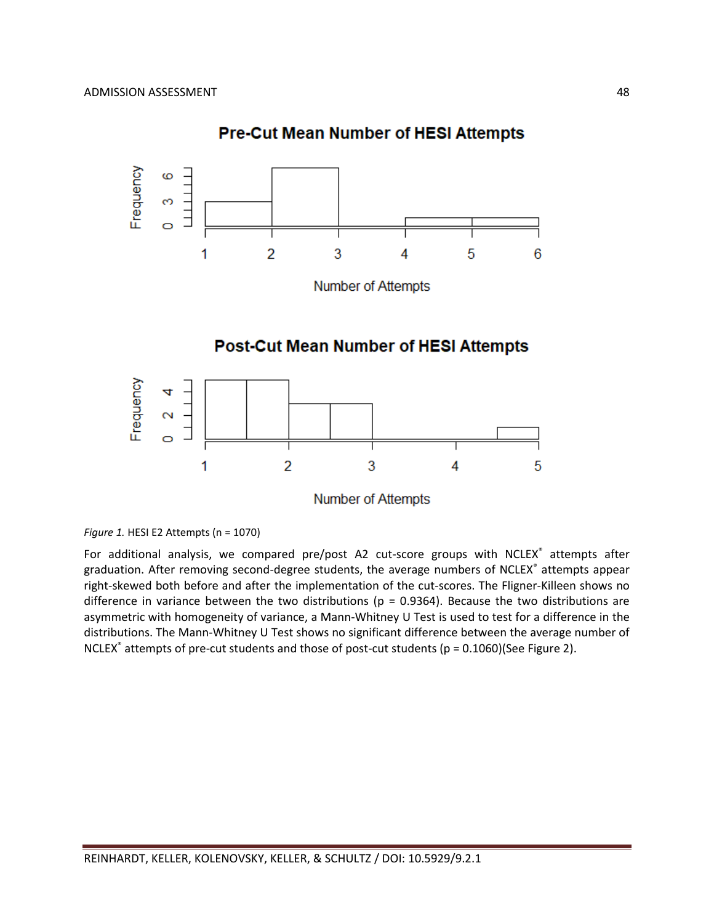

# **Pre-Cut Mean Number of HESI Attempts**

*Figure 1.* HESI E2 Attempts (n = 1070)

For additional analysis, we compared pre/post A2 cut-score groups with NCLEX® attempts after graduation. After removing second-degree students, the average numbers of NCLEX® attempts appear right-skewed both before and after the implementation of the cut-scores. The Fligner-Killeen shows no difference in variance between the two distributions ( $p = 0.9364$ ). Because the two distributions are asymmetric with homogeneity of variance, a Mann-Whitney U Test is used to test for a difference in the distributions. The Mann-Whitney U Test shows no significant difference between the average number of NCLEX<sup>®</sup> attempts of pre-cut students and those of post-cut students (p = 0.1060)(See Figure 2).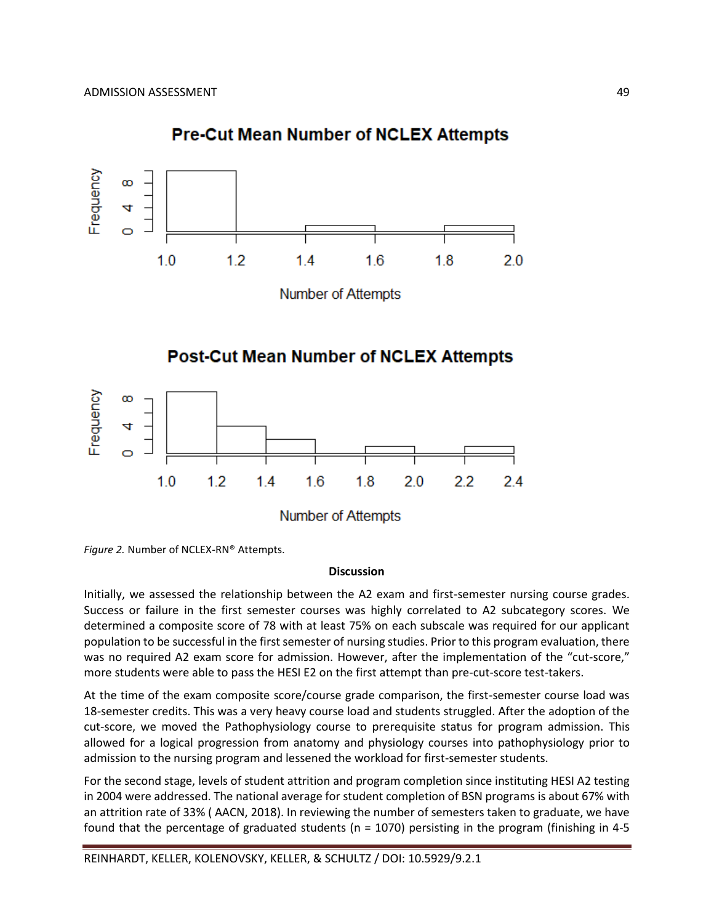



**Number of Attempts** 

# **Post-Cut Mean Number of NCLEX Attempts**



*Figure 2.* Number of NCLEX-RN® Attempts.

#### **Discussion**

Initially, we assessed the relationship between the A2 exam and first-semester nursing course grades. Success or failure in the first semester courses was highly correlated to A2 subcategory scores. We determined a composite score of 78 with at least 75% on each subscale was required for our applicant population to be successful in the first semester of nursing studies. Prior to this program evaluation, there was no required A2 exam score for admission. However, after the implementation of the "cut-score," more students were able to pass the HESI E2 on the first attempt than pre-cut-score test-takers.

At the time of the exam composite score/course grade comparison, the first-semester course load was 18-semester credits. This was a very heavy course load and students struggled. After the adoption of the cut-score, we moved the Pathophysiology course to prerequisite status for program admission. This allowed for a logical progression from anatomy and physiology courses into pathophysiology prior to admission to the nursing program and lessened the workload for first-semester students.

For the second stage, levels of student attrition and program completion since instituting HESI A2 testing in 2004 were addressed. The national average for student completion of BSN programs is about 67% with an attrition rate of 33% ( AACN, 2018). In reviewing the number of semesters taken to graduate, we have found that the percentage of graduated students (n = 1070) persisting in the program (finishing in 4-5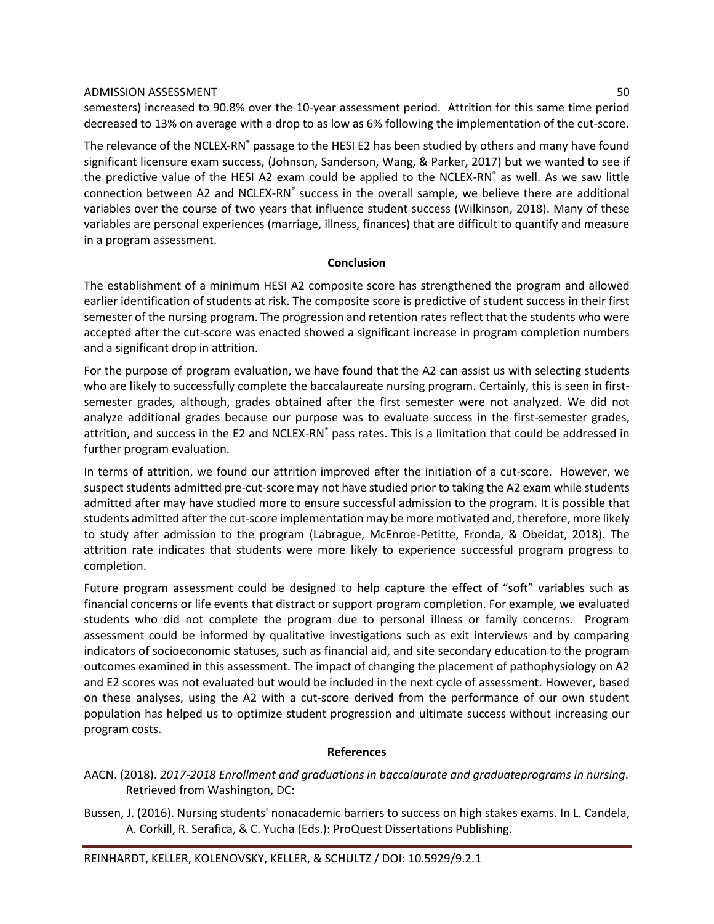semesters) increased to 90.8% over the 10-year assessment period. Attrition for this same time period decreased to 13% on average with a drop to as low as 6% following the implementation of the cut-score.

The relevance of the NCLEX-RN® passage to the HESI E2 has been studied by others and many have found significant licensure exam success, (Johnson, Sanderson, Wang, & Parker, 2017) but we wanted to see if the predictive value of the HESI A2 exam could be applied to the NCLEX-RN® as well. As we saw little connection between A2 and NCLEX-RN® success in the overall sample, we believe there are additional variables over the course of two years that influence student success (Wilkinson, 2018). Many of these variables are personal experiences (marriage, illness, finances) that are difficult to quantify and measure in a program assessment.

# **Conclusion**

The establishment of a minimum HESI A2 composite score has strengthened the program and allowed earlier identification of students at risk. The composite score is predictive of student success in their first semester of the nursing program. The progression and retention rates reflect that the students who were accepted after the cut-score was enacted showed a significant increase in program completion numbers and a significant drop in attrition.

For the purpose of program evaluation, we have found that the A2 can assist us with selecting students who are likely to successfully complete the baccalaureate nursing program. Certainly, this is seen in firstsemester grades, although, grades obtained after the first semester were not analyzed. We did not analyze additional grades because our purpose was to evaluate success in the first-semester grades, attrition, and success in the E2 and NCLEX-RN® pass rates. This is a limitation that could be addressed in further program evaluation.

In terms of attrition, we found our attrition improved after the initiation of a cut-score. However, we suspect students admitted pre-cut-score may not have studied prior to taking the A2 exam while students admitted after may have studied more to ensure successful admission to the program. It is possible that students admitted after the cut-score implementation may be more motivated and, therefore, more likely to study after admission to the program (Labrague, McEnroe-Petitte, Fronda, & Obeidat, 2018). The attrition rate indicates that students were more likely to experience successful program progress to completion.

Future program assessment could be designed to help capture the effect of "soft" variables such as financial concerns or life events that distract or support program completion. For example, we evaluated students who did not complete the program due to personal illness or family concerns. Program assessment could be informed by qualitative investigations such as exit interviews and by comparing indicators of socioeconomic statuses, such as financial aid, and site secondary education to the program outcomes examined in this assessment. The impact of changing the placement of pathophysiology on A2 and E2 scores was not evaluated but would be included in the next cycle of assessment. However, based on these analyses, using the A2 with a cut-score derived from the performance of our own student population has helped us to optimize student progression and ultimate success without increasing our program costs.

# **References**

- AACN. (2018). *2017-2018 Enrollment and graduations in baccalaurate and graduateprograms in nursing*. Retrieved from Washington, DC:
- Bussen, J. (2016). Nursing students' nonacademic barriers to success on high stakes exams. In L. Candela, A. Corkill, R. Serafica, & C. Yucha (Eds.): ProQuest Dissertations Publishing.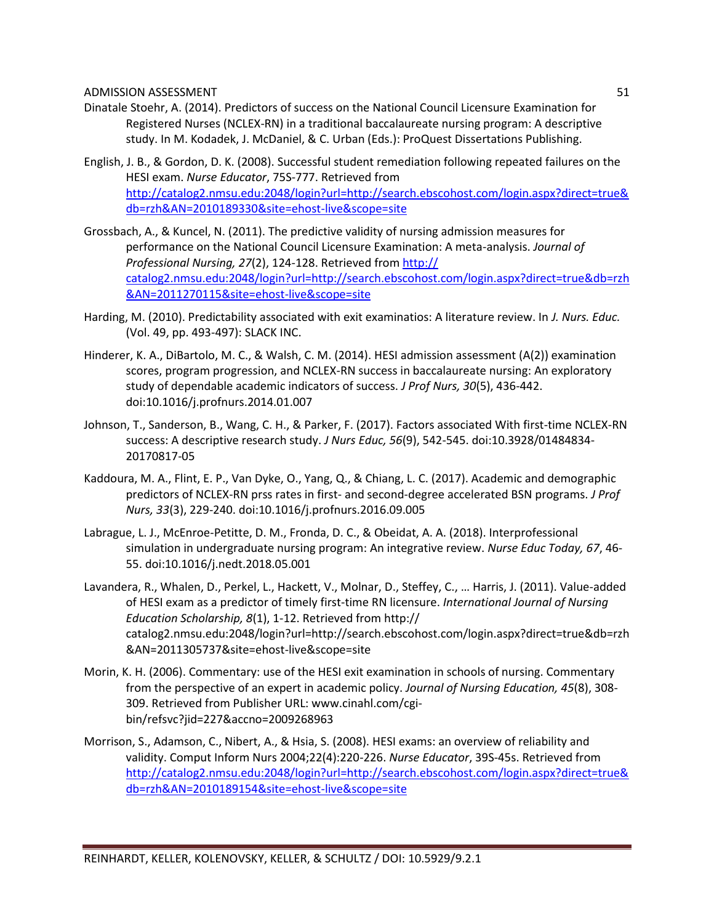- Dinatale Stoehr, A. (2014). Predictors of success on the National Council Licensure Examination for Registered Nurses (NCLEX-RN) in a traditional baccalaureate nursing program: A descriptive study. In M. Kodadek, J. McDaniel, & C. Urban (Eds.): ProQuest Dissertations Publishing.
- English, J. B., & Gordon, D. K. (2008). Successful student remediation following repeated failures on the HESI exam. *Nurse Educator*, 75S-777. Retrieved from [http://catalog2.nmsu.edu:2048/login?url=http://search.ebscohost.com/login.aspx?direct=true&](http://catalog2.nmsu.edu:2048/login?url=http://search.ebscohost.com/login.aspx?direct=true&db=rzh&AN=2010189330&site=ehost-live&scope=site) [db=rzh&AN=2010189330&site=ehost-live&scope=site](http://catalog2.nmsu.edu:2048/login?url=http://search.ebscohost.com/login.aspx?direct=true&db=rzh&AN=2010189330&site=ehost-live&scope=site)
- Grossbach, A., & Kuncel, N. (2011). The predictive validity of nursing admission measures for performance on the National Council Licensure Examination: A meta-analysis. *Journal of Professional Nursing, 27*(2), 124-128. Retrieved from http:// catalog2.nmsu.edu:2048/login?url=http://search.ebscohost.com/login.aspx?direct=true&db=rzh &AN=2011270115&site=ehost-live&scope=site
- Harding, M. (2010). Predictability associated with exit examinatios: A literature review. In *J. Nurs. Educ.* (Vol. 49, pp. 493-497): SLACK INC.
- Hinderer, K. A., DiBartolo, M. C., & Walsh, C. M. (2014). HESI admission assessment (A(2)) examination scores, program progression, and NCLEX-RN success in baccalaureate nursing: An exploratory study of dependable academic indicators of success. *J Prof Nurs, 30*(5), 436-442. doi:10.1016/j.profnurs.2014.01.007
- Johnson, T., Sanderson, B., Wang, C. H., & Parker, F. (2017). Factors associated With first-time NCLEX-RN success: A descriptive research study. *J Nurs Educ, 56*(9), 542-545. doi:10.3928/01484834- 20170817-05
- Kaddoura, M. A., Flint, E. P., Van Dyke, O., Yang, Q., & Chiang, L. C. (2017). Academic and demographic predictors of NCLEX-RN prss rates in first- and second-degree accelerated BSN programs. *J Prof Nurs, 33*(3), 229-240. doi:10.1016/j.profnurs.2016.09.005
- Labrague, L. J., McEnroe-Petitte, D. M., Fronda, D. C., & Obeidat, A. A. (2018). Interprofessional simulation in undergraduate nursing program: An integrative review. *Nurse Educ Today, 67*, 46- 55. doi:10.1016/j.nedt.2018.05.001
- Lavandera, R., Whalen, D., Perkel, L., Hackett, V., Molnar, D., Steffey, C., … Harris, J. (2011). Value-added of HESI exam as a predictor of timely first-time RN licensure. *International Journal of Nursing Education Scholarship, 8*(1), 1-12. Retrieved from http:// catalog2.nmsu.edu:2048/login?url=http://search.ebscohost.com/login.aspx?direct=true&db=rzh &AN=2011305737&site=ehost-live&scope=site
- Morin, K. H. (2006). Commentary: use of the HESI exit examination in schools of nursing. Commentary from the perspective of an expert in academic policy. *Journal of Nursing Education, 45*(8), 308- 309. Retrieved from Publisher URL: www.cinahl.com/cgibin/refsvc?jid=227&accno=2009268963
- Morrison, S., Adamson, C., Nibert, A., & Hsia, S. (2008). HESI exams: an overview of reliability and validity. Comput Inform Nurs 2004;22(4):220-226. *Nurse Educator*, 39S-45s. Retrieved from [http://catalog2.nmsu.edu:2048/login?url=http://search.ebscohost.com/login.aspx?direct=true&](http://catalog2.nmsu.edu:2048/login?url=http://search.ebscohost.com/login.aspx?direct=true&db=rzh&AN=2010189154&site=ehost-live&scope=site) [db=rzh&AN=2010189154&site=ehost-live&scope=site](http://catalog2.nmsu.edu:2048/login?url=http://search.ebscohost.com/login.aspx?direct=true&db=rzh&AN=2010189154&site=ehost-live&scope=site)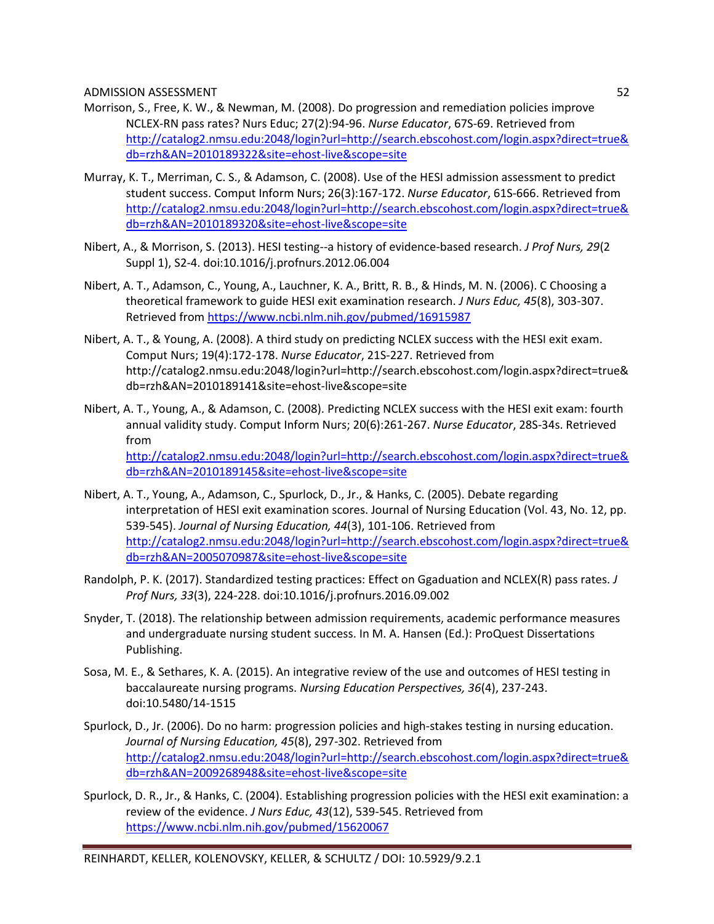- Morrison, S., Free, K. W., & Newman, M. (2008). Do progression and remediation policies improve NCLEX-RN pass rates? Nurs Educ; 27(2):94-96. *Nurse Educator*, 67S-69. Retrieved from [http://catalog2.nmsu.edu:2048/login?url=http://search.ebscohost.com/login.aspx?direct=true&](http://catalog2.nmsu.edu:2048/login?url=http://search.ebscohost.com/login.aspx?direct=true&db=rzh&AN=2010189322&site=ehost-live&scope=site) [db=rzh&AN=2010189322&site=ehost-live&scope=site](http://catalog2.nmsu.edu:2048/login?url=http://search.ebscohost.com/login.aspx?direct=true&db=rzh&AN=2010189322&site=ehost-live&scope=site)
- Murray, K. T., Merriman, C. S., & Adamson, C. (2008). Use of the HESI admission assessment to predict student success. Comput Inform Nurs; 26(3):167-172. *Nurse Educator*, 61S-666. Retrieved from [http://catalog2.nmsu.edu:2048/login?url=http://search.ebscohost.com/login.aspx?direct=true&](http://catalog2.nmsu.edu:2048/login?url=http://search.ebscohost.com/login.aspx?direct=true&db=rzh&AN=2010189320&site=ehost-live&scope=site) [db=rzh&AN=2010189320&site=ehost-live&scope=site](http://catalog2.nmsu.edu:2048/login?url=http://search.ebscohost.com/login.aspx?direct=true&db=rzh&AN=2010189320&site=ehost-live&scope=site)
- Nibert, A., & Morrison, S. (2013). HESI testing--a history of evidence-based research. *J Prof Nurs, 29*(2 Suppl 1), S2-4. doi:10.1016/j.profnurs.2012.06.004
- Nibert, A. T., Adamson, C., Young, A., Lauchner, K. A., Britt, R. B., & Hinds, M. N. (2006). C Choosing a theoretical framework to guide HESI exit examination research. *J Nurs Educ, 45*(8), 303-307. Retrieved from<https://www.ncbi.nlm.nih.gov/pubmed/16915987>
- Nibert, A. T., & Young, A. (2008). A third study on predicting NCLEX success with the HESI exit exam. Comput Nurs; 19(4):172-178. *Nurse Educator*, 21S-227. Retrieved from http://catalog2.nmsu.edu:2048/login?url=http://search.ebscohost.com/login.aspx?direct=true& db=rzh&AN=2010189141&site=ehost-live&scope=site
- Nibert, A. T., Young, A., & Adamson, C. (2008). Predicting NCLEX success with the HESI exit exam: fourth annual validity study. Comput Inform Nurs; 20(6):261-267. *Nurse Educator*, 28S-34s. Retrieved from [http://catalog2.nmsu.edu:2048/login?url=http://search.ebscohost.com/login.aspx?direct=true&](http://catalog2.nmsu.edu:2048/login?url=http://search.ebscohost.com/login.aspx?direct=true&db=rzh&AN=2010189145&site=ehost-live&scope=site) [db=rzh&AN=2010189145&site=ehost-live&scope=site](http://catalog2.nmsu.edu:2048/login?url=http://search.ebscohost.com/login.aspx?direct=true&db=rzh&AN=2010189145&site=ehost-live&scope=site)
- Nibert, A. T., Young, A., Adamson, C., Spurlock, D., Jr., & Hanks, C. (2005). Debate regarding interpretation of HESI exit examination scores. Journal of Nursing Education (Vol. 43, No. 12, pp. 539-545). *Journal of Nursing Education, 44*(3), 101-106. Retrieved from [http://catalog2.nmsu.edu:2048/login?url=http://search.ebscohost.com/login.aspx?direct=true&](http://catalog2.nmsu.edu:2048/login?url=http://search.ebscohost.com/login.aspx?direct=true&db=rzh&AN=2005070987&site=ehost-live&scope=site) [db=rzh&AN=2005070987&site=ehost-live&scope=site](http://catalog2.nmsu.edu:2048/login?url=http://search.ebscohost.com/login.aspx?direct=true&db=rzh&AN=2005070987&site=ehost-live&scope=site)
- Randolph, P. K. (2017). Standardized testing practices: Effect on Ggaduation and NCLEX(R) pass rates. *J Prof Nurs, 33*(3), 224-228. doi:10.1016/j.profnurs.2016.09.002
- Snyder, T. (2018). The relationship between admission requirements, academic performance measures and undergraduate nursing student success. In M. A. Hansen (Ed.): ProQuest Dissertations Publishing.
- Sosa, M. E., & Sethares, K. A. (2015). An integrative review of the use and outcomes of HESI testing in baccalaureate nursing programs. *Nursing Education Perspectives, 36*(4), 237-243. doi:10.5480/14-1515
- Spurlock, D., Jr. (2006). Do no harm: progression policies and high-stakes testing in nursing education. *Journal of Nursing Education, 45*(8), 297-302. Retrieved from [http://catalog2.nmsu.edu:2048/login?url=http://search.ebscohost.com/login.aspx?direct=true&](http://catalog2.nmsu.edu:2048/login?url=http://search.ebscohost.com/login.aspx?direct=true&db=rzh&AN=2009268948&site=ehost-live&scope=site) [db=rzh&AN=2009268948&site=ehost-live&scope=site](http://catalog2.nmsu.edu:2048/login?url=http://search.ebscohost.com/login.aspx?direct=true&db=rzh&AN=2009268948&site=ehost-live&scope=site)
- Spurlock, D. R., Jr., & Hanks, C. (2004). Establishing progression policies with the HESI exit examination: a review of the evidence. *J Nurs Educ, 43*(12), 539-545. Retrieved from <https://www.ncbi.nlm.nih.gov/pubmed/15620067>